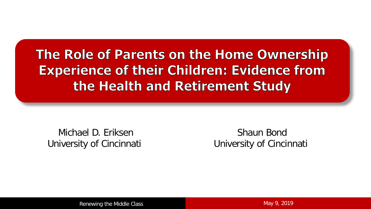#### The Role of Parents on the Home Ownership **Experience of their Children: Evidence from** the Health and Retirement Study

Michael D. Eriksen University of Cincinnati

Shaun Bond University of Cincinnati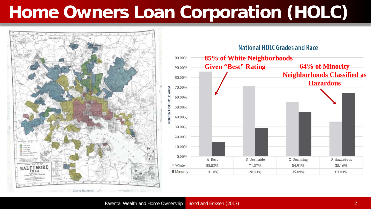# **Home Owners Loan Corporation (HOLC)**

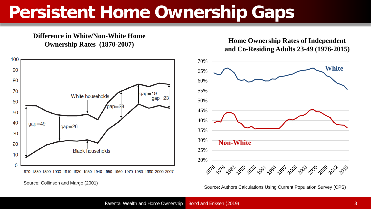## **Persistent Home Ownership Gaps**

**Difference in White/Non-White Home** 



**Ownership Rates** (1870-2007) **Home Ownership Rates of Independent Contract Contract Contract Contract Contract Contract Contract Contract Contract Contract Contract Contract Contract Contract Contract Contract Contract and Co-Residing Adults 23-49 (1976-2015)**

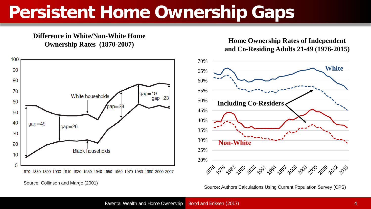## **Persistent Home Ownership Gaps**

**Difference in White/Non-White Home** 



**Ownership Rates** (1870-2007) **Home Ownership Rates of Independent Contract Contract Contract Contract Contract Contract Contract Contract Contract Contract Contract Contract Contract Contract Contract Contract Contract and Co-Residing Adults 21-49 (1976-2015)**



Source: Collinson and Margo (2001) Source: Authors Calculations Using Current Population Survey (CPS)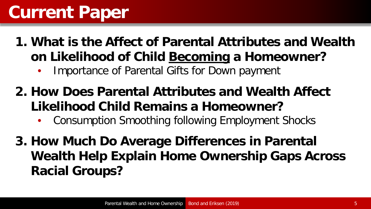## **Current Paper**

- **1. What is the Affect of Parental Attributes and Wealth on Likelihood of Child Becoming a Homeowner?**
	- Importance of Parental Gifts for Down payment
- **2. How Does Parental Attributes and Wealth Affect Likelihood Child Remains a Homeowner?**
	- Consumption Smoothing following Employment Shocks
- **3. How Much Do Average Differences in Parental Wealth Help Explain Home Ownership Gaps Across Racial Groups?**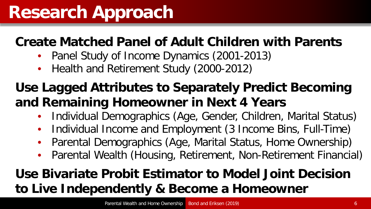#### **Create Matched Panel of Adult Children with Parents**

- Panel Study of Income Dynamics (2001-2013)
- Health and Retirement Study (2000-2012)

#### **Use Lagged Attributes to Separately Predict Becoming and Remaining Homeowner in Next 4 Years**

- Individual Demographics (Age, Gender, Children, Marital Status)
- Individual Income and Employment (3 Income Bins, Full-Time)
- Parental Demographics (Age, Marital Status, Home Ownership)
- Parental Wealth (Housing, Retirement, Non-Retirement Financial)

#### **Use Bivariate Probit Estimator to Model Joint Decision to Live Independently & Become a Homeowner**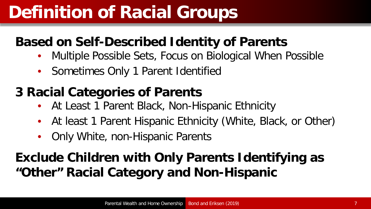## **Definition of Racial Groups**

#### **Based on Self-Described Identity of Parents**

- Multiple Possible Sets, Focus on Biological When Possible
- Sometimes Only 1 Parent Identified

#### **3 Racial Categories of Parents**

- At Least 1 Parent Black, Non-Hispanic Ethnicity
- At least 1 Parent Hispanic Ethnicity (White, Black, or Other)
- Only White, non-Hispanic Parents

#### **Exclude Children with Only Parents Identifying as "Other" Racial Category and Non-Hispanic**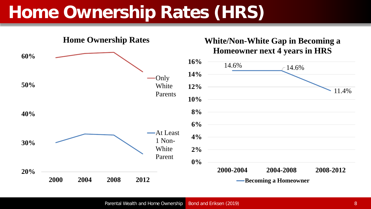## **Home Ownership Rates (HRS)**

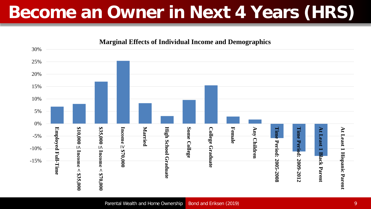# **Become an Owner in Next 4 Years (HRS)**

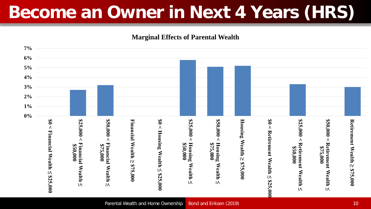# **Become an Owner in Next 4 Years (HRS)**

**Marginal Effects of Parental Wealth**

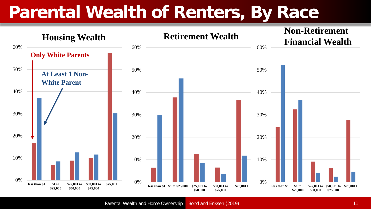## **Parental Wealth of Renters, By Race**



Parental Wealth and Home Ownership Bond and Eriksen (2019) 11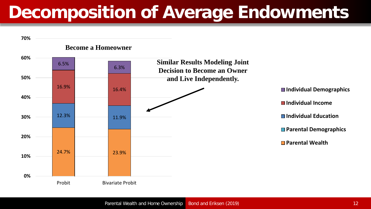# **Decomposition of Average Endowments**

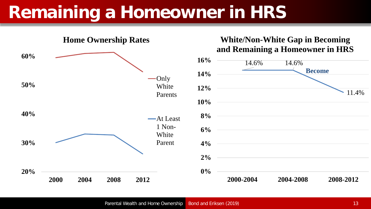# **Remaining a Homeowner in HRS**



#### **White/Non-White Gap in Becoming and Remaining a Homeowner in HRS**

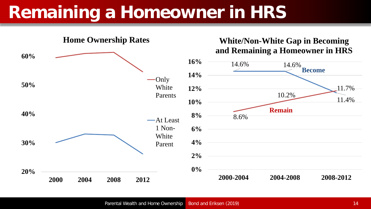# **Remaining a Homeowner in HRS**

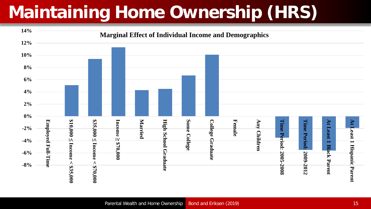# **Maintaining Home Ownership (HRS)**

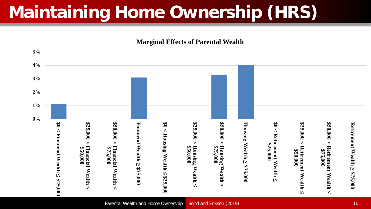# **Maintaining Home Ownership (HRS)**

**Marginal Effects of Parental Wealth**

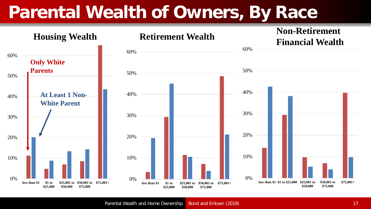## **Parental Wealth of Owners, By Race**

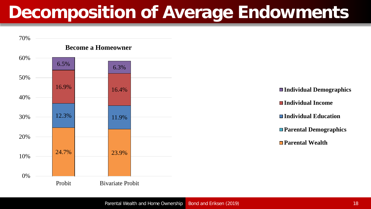# **Decomposition of Average Endowments**

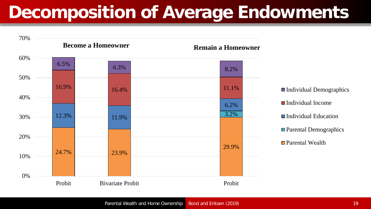## **Decomposition of Average Endowments**